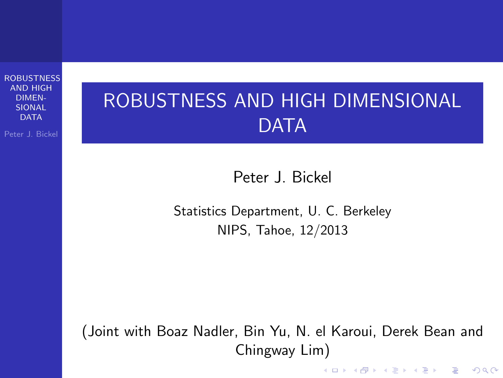Peter J. Bickel

## ROBUSTNESS AND HIGH DIMENSIONAL **DATA**

Peter J. Bickel

Statistics Department, U. C. Berkeley NIPS, Tahoe, 12/2013

<span id="page-0-0"></span>(Joint with Boaz Nadler, Bin Yu, N. el Karoui, Derek Bean and Chingway Lim)

K ロ ▶ K @ ▶ K 할 ▶ K 할 ▶ 이 할 → 9 Q @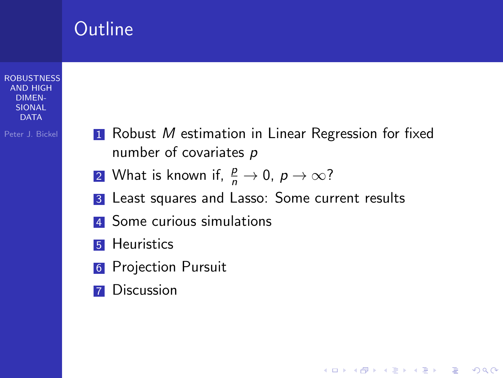### Outline

#### **[ROBUSTNESS](#page-0-0)** AND HIGH DIMEN-SIONAL **DATA**

Peter J. Bickel

**1** Robust *M* estimation in Linear Regression for fixed number of covariates p

**KORK ERKER ADE YOUR** 

- 2 What is known if,  $\frac{p}{n} \to 0$ ,  $p \to \infty$ ?
- 3 Least squares and Lasso: Some current results
- 4 Some curious simulations
- **5** Heuristics
- **6** Projection Pursuit
- **7** Discussion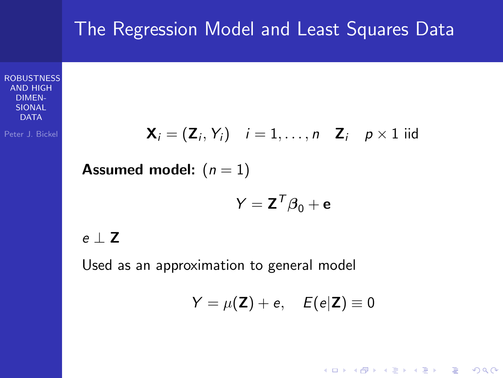### The Regression Model and Least Squares Data

**[ROBUSTNESS](#page-0-0)** AND HIGH DIMEN-SIONAL  $\overline{D}$  $\Delta$ T $\Delta$ 

Peter J. Bickel

$$
\mathbf{X}_i = (\mathbf{Z}_i, Y_i) \quad i = 1, \dots, n \quad \mathbf{Z}_i \quad p \times 1 \text{ iid}
$$

**Assumed model:**  $(n = 1)$ 

$$
Y = \mathbf{Z}^T \boldsymbol{\beta}_0 + \mathbf{e}
$$

### e  $\perp$  Z

Used as an approximation to general model

$$
Y = \mu(\mathbf{Z}) + e, \quad E(e|\mathbf{Z}) \equiv 0
$$

K ロ ▶ K @ ▶ K 할 ▶ K 할 ▶ | 할 | © 9 Q @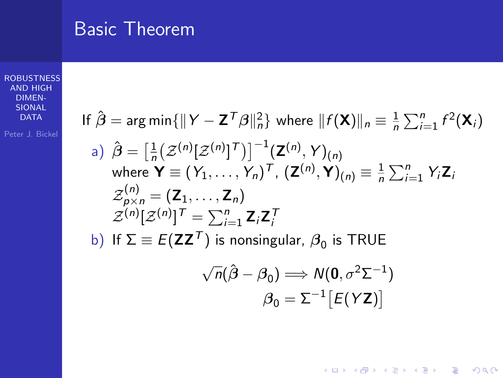### Basic Theorem

#### **[ROBUSTNESS](#page-0-0)** AND HIGH DIMEN-SIONAL DATA

If 
$$
\hat{\boldsymbol{\beta}} = \arg \min \{ ||\boldsymbol{Y} - \mathbf{Z}^T \boldsymbol{\beta}||_n^2 \}
$$
 where  $||f(\mathbf{X})||_n \equiv \frac{1}{n} \sum_{i=1}^n f^2(\mathbf{X}_i)$   
\na)  $\hat{\boldsymbol{\beta}} = \left[\frac{1}{n} (\mathcal{Z}^{(n)}[\mathcal{Z}^{(n)}]^T)\right]^{-1} (\mathbf{Z}^{(n)}, \mathbf{Y})_{(n)}$   
\nwhere  $\mathbf{Y} \equiv (\mathbf{Y}_1, ..., \mathbf{Y}_n)^T$ ,  $(\mathbf{Z}^{(n)}, \mathbf{Y})_{(n)} \equiv \frac{1}{n} \sum_{i=1}^n Y_i \mathbf{Z}_i$   
\n $\mathcal{Z}_{p \times n}^{(n)} = (\mathbf{Z}_1, ..., \mathbf{Z}_n)$   
\n $\mathcal{Z}^{(n)}[\mathcal{Z}^{(n)}]^T = \sum_{i=1}^n \mathbf{Z}_i \mathbf{Z}_i^T$   
\nb) If  $\Sigma \equiv E(\mathbf{Z} \mathbf{Z}^T)$  is nonsingular,  $\beta_0$  is TRUE

$$
\sqrt{n}(\hat{\boldsymbol{\beta}} - \boldsymbol{\beta}_0) \Longrightarrow N(\mathbf{0}, \sigma^2 \Sigma^{-1})
$$

$$
\boldsymbol{\beta}_0 = \Sigma^{-1} \big[ E(\boldsymbol{Y} \mathbf{Z}) \big]
$$

イロト イ御 トイミト イミト ニミー りんぴ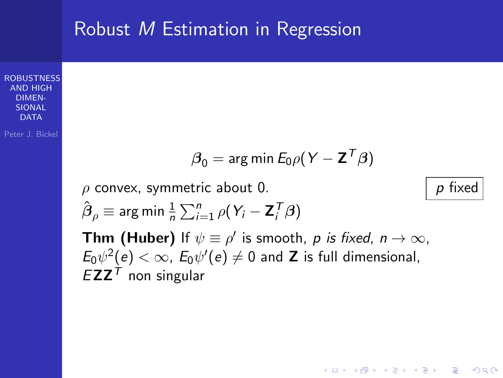### Robust M Estimation in Regression

**[ROBUSTNESS](#page-0-0)** AND HIGH DIMEN-SIONAL **DATA** 

Peter J. Bickel

$$
\boldsymbol{\beta}_0 = \text{arg min } E_0 \rho (\boldsymbol{Y} - \mathbf{Z}^T \boldsymbol{\beta})
$$

 $\rho$  convex, symmetric about 0. p fixed

$$
\hat{\boldsymbol{\beta}}_{\rho} \equiv \arg \min \frac{1}{n} \sum_{i=1}^{n} \rho (Y_i - \mathbf{Z}_i^T \boldsymbol{\beta})
$$

**Thm (Huber)** If  $\psi \equiv \rho'$  is smooth,  $\rho$  *is fixed, n*  $\rightarrow \infty$ ,  $E_0\psi^2(e)<\infty$ ,  $E_0\psi'(e)\neq 0$  and **Z** is full dimensional,  $EZZ<sup>T</sup>$  non singular

**KORK ERKER ADE YOUR**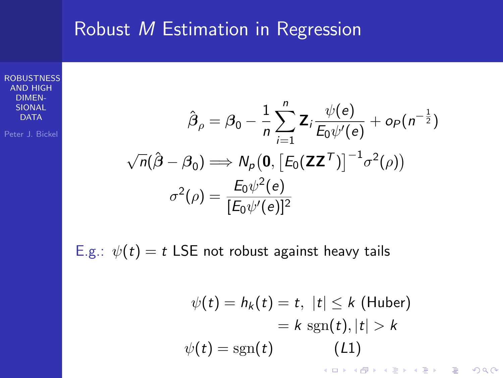### Robust M Estimation in Regression

**[ROBUSTNESS](#page-0-0)** AND HIGH DIMEN-SIONAL DATA

Peter J. Bickel

$$
\hat{\beta}_{\rho} = \beta_0 - \frac{1}{n} \sum_{i=1}^n \mathbf{Z}_i \frac{\psi(e)}{E_0 \psi'(e)} + o_P(n^{-\frac{1}{2}})
$$

$$
\sqrt{n}(\hat{\beta} - \beta_0) \Longrightarrow N_P(\mathbf{0}, [E_0(\mathbf{ZZ}^T)]^{-1} \sigma^2(\rho))
$$

$$
\sigma^2(\rho) = \frac{E_0 \psi^2(e)}{[E_0 \psi'(e)]^2}
$$

E.g.:  $\psi(t) = t$  LSE not robust against heavy tails

$$
\psi(t) = h_k(t) = t, \ |t| \leq k \text{ (Huber)}
$$
\n
$$
= k \, \text{sgn}(t), |t| > k
$$
\n
$$
\psi(t) = \text{sgn}(t) \qquad (L1)
$$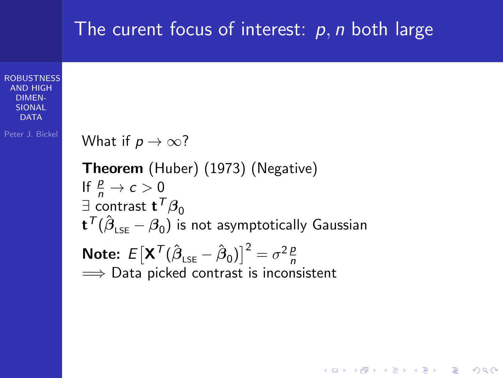### **[ROBUSTNESS](#page-0-0)** AND HIGH DIMEN-SIONAL **DATA** Peter J. Bickel The curent focus of interest:  $p, n$  both large What if  $p \to \infty$ ? Theorem (Huber) (1973) (Negative) If  $\frac{p}{n} \to c > 0$  $\exists$  contrast  ${\sf t}^{\sf T}\boldsymbol{\beta}_0$  $\mathbf{t}^{\mathcal{\mathcal{T}}}(\hat{\boldsymbol{\beta}}_{\textsf{\tiny LSE}}-\boldsymbol{\beta}_{0})$  is not asymptotically Gaussian Note:  $E[X^{\mathcal{T}}(\hat{\beta}_{LSE} - \hat{\beta}_0)]^2 = \sigma^2 \frac{p}{n}$  $\implies$  Data picked contrast is inconsistent

**KORK STRAIN A BAR SHOP**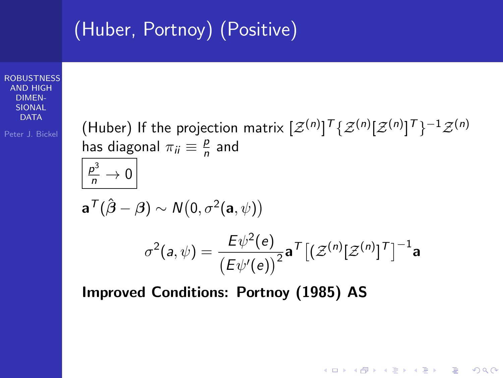## (Huber, Portnoy) (Positive)

**[ROBUSTNESS](#page-0-0)** AND HIGH DIMEN-SIONAL **DATA** 

Peter J. Bickel

(Huber) If the projection matrix  $[\mathcal{Z}^{(n)}]^{\mathcal{T}}\{\mathcal{Z}^{(n)}[\mathcal{Z}^{(n)}]^{\mathcal{T}}\}^{-1}\mathcal{Z}^{(n)}$ has diagonal  $\pi_{ii} \equiv \frac{p}{n}$  $\frac{p}{n}$  and  $\frac{p^3}{n} \to 0$  $\mathbf{a}^\mathcal{T} (\hat{\boldsymbol{\beta}}-\boldsymbol{\beta}) \sim \mathcal{N}(0, \sigma^2(\mathbf{a}, \psi))$  $\sigma^2(a,\psi) = \frac{E\psi^2(e)}{e^{\langle e, \psi \rangle}}$  $\frac{E\,\psi^{\scriptscriptstyle \perp}(\mathit{e})}{\left(E\psi^{\prime}(\mathit{e})\right)^2}$ a $^{\mathcal{T}}\big[(\mathcal{Z}^{(n)}[\mathcal{Z}^{(n)}]^{\mathcal{T}}\big]^{-1}$ a

**KORK STRAIN A BAR SHOP** 

Improved Conditions: Portnoy (1985) AS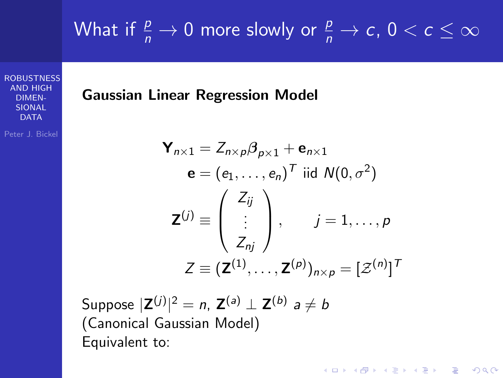# What if  $\frac{p}{n} \to 0$  more slowly or  $\frac{p}{n} \to c$ ,  $0 < c \le \infty$

**[ROBUSTNESS](#page-0-0)** AND HIGH DIMEN-SIONAL  $\overline{D}$  $\Delta$ T $\overline{\Delta}$ 

Peter J. Bickel

Gaussian Linear Regression Model

$$
\mathbf{Y}_{n\times 1} = Z_{n\times p}\beta_{p\times 1} + \mathbf{e}_{n\times 1}
$$
  
\n
$$
\mathbf{e} = (e_1, \dots, e_n)^T \text{ iid } N(0, \sigma^2)
$$
  
\n
$$
\mathbf{Z}^{(j)} \equiv \begin{pmatrix} Z_{ij} \\ \vdots \\ Z_{nj} \end{pmatrix}, \qquad j = 1, \dots, p
$$
  
\n
$$
Z \equiv (\mathbf{Z}^{(1)}, \dots, \mathbf{Z}^{(p)})_{n\times p} = [\mathcal{Z}^{(n)}]^T
$$

**KORK ERKER ADE YOUR** 

Suppose  $|\mathsf{Z}^{(j)}|^2=n$ ,  $\mathsf{Z}^{(a)}\perp \mathsf{Z}^{(b)}$  a  $\neq b$ (Canonical Gaussian Model) Equivalent to: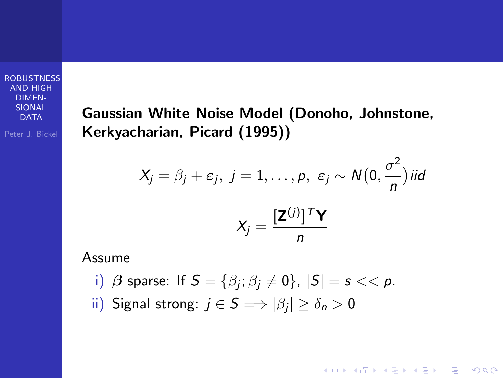Peter J. Bickel

Gaussian White Noise Model (Donoho, Johnstone, Kerkyacharian, Picard (1995))

$$
X_j = \beta_j + \varepsilon_j, \ j = 1, \dots, p, \ \varepsilon_j \sim N\left(0, \frac{\sigma^2}{n}\right)
$$
iid  

$$
X_j = \frac{[\mathbf{Z}^{(j)}]^T \mathbf{Y}}{n}
$$

**KORK STRAIN A BAR SHOP** 

Assume

- i)  $\beta$  sparse: If  $S = \{\beta_j; \beta_j \neq 0\}$ ,  $|S| = s << p$ .
- ii) Signal strong:  $j \in S \Longrightarrow |\beta_j| \geq \delta_n > 0$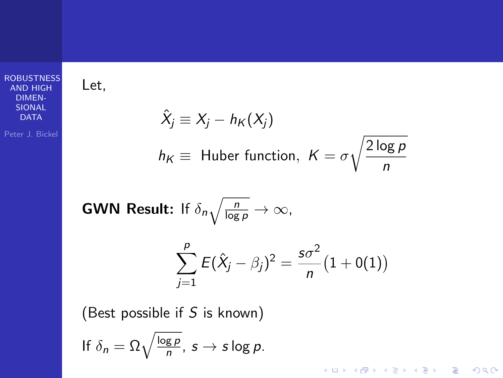Let,

$$
\hat{X}_j \equiv X_j - h_K(X_j)
$$
  

$$
h_K \equiv \text{ Huber function, } K = \sigma \sqrt{\frac{2 \log p}{n}}
$$

イロト イ御 トイミト イミト ニミー りんぴ

**GWN Result:** If 
$$
\delta_n \sqrt{\frac{n}{\log p}} \to \infty
$$
,  

$$
\sum_{j=1}^p E(\hat{X}_j - \beta_j)^2 = \frac{s\sigma^2}{n} (1 + o(1))
$$

(Best possible if  $S$  is known)

$$
\text{If } \delta_n = \Omega \sqrt{\frac{\log p}{n}}, \ s \to s \log p.
$$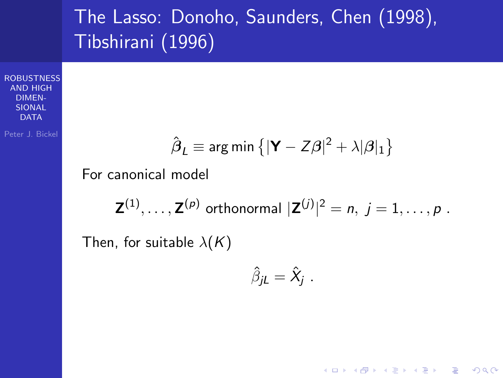### The Lasso: Donoho, Saunders, Chen (1998), Tibshirani (1996)

**[ROBUSTNESS](#page-0-0)** AND HIGH DIMEN-SIONAL  $\overline{D}$  $\Delta$ T $\Delta$ 

Peter J. Bickel

$$
\hat{\boldsymbol{\beta}}_L \equiv \text{arg min}\left\{|\boldsymbol{\mathsf{Y}}-Z\boldsymbol{\beta}|^2+\lambda|\boldsymbol{\beta}|_1\right\}
$$

For canonical model

 $\mathsf{Z}^{(1)},\ldots,\mathsf{Z}^{(p)}$  orthonormal  $|\mathsf{Z}^{(j)}|^2=n,\ j=1,\ldots,p$  . Then, for suitable  $\lambda(K)$ 

$$
\hat{\beta}_{jL}=\hat{X}_j.
$$

**KORK ERKER ADE YOUR**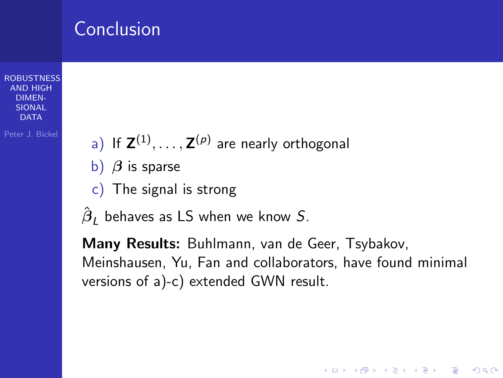### Conclusion

**[ROBUSTNESS](#page-0-0)** AND HIGH DIMEN-SIONAL **DATA** 

Peter J. Bickel

- a) If  $\mathsf{Z}^{(1)}, \ldots, \mathsf{Z}^{(p)}$  are nearly orthogonal
- b)  $\beta$  is sparse
- c) The signal is strong
- $\hat{\boldsymbol{\beta}}_L$  behaves as LS when we know  $S.$

Many Results: Buhlmann, van de Geer, Tsybakov, Meinshausen, Yu, Fan and collaborators, have found minimal versions of a)-c) extended GWN result.

**KORK ERKER ADE YOUR**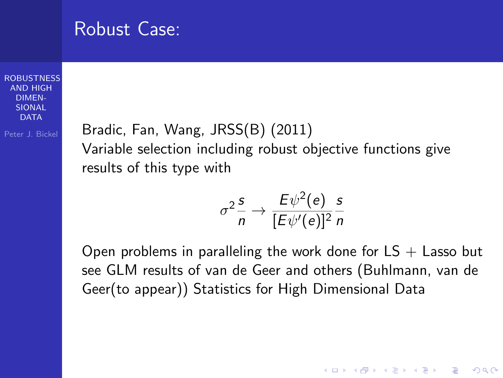|  | <b>Robust Case:</b> |
|--|---------------------|
|  |                     |

Peter J. Bickel

Bradic, Fan, Wang, JRSS(B) (2011) Variable selection including robust objective functions give results of this type with

$$
\sigma^2 \frac{s}{n} \to \frac{E\psi^2(e)}{[E\psi'(e)]^2} \frac{s}{n}
$$

Open problems in paralleling the work done for  $LS +$  Lasso but see GLM results of van de Geer and others (Buhlmann, van de Geer(to appear)) Statistics for High Dimensional Data

**KORK STRAIN A BAR SHOP**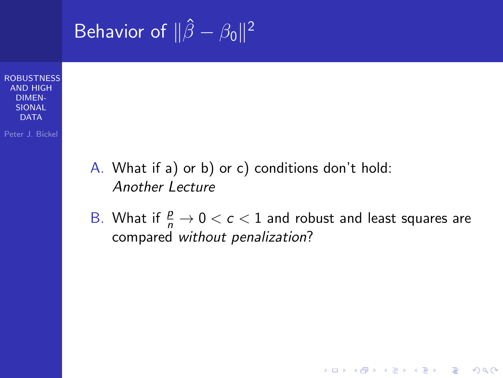**[ROBUSTNESS](#page-0-0)** AND HIGH DIMEN-SIONAL **DATA** Peter J. Bickel Behavior of  $\|\hat{\beta} - \beta_0\|^2$ A. What if a) or b) or c) conditions don't hold: Another Lecture B. What if  $\frac{p}{n} \to 0 < c < 1$  and robust and least squares are compared without penalization?

**KORK ERKER ADE YOUR**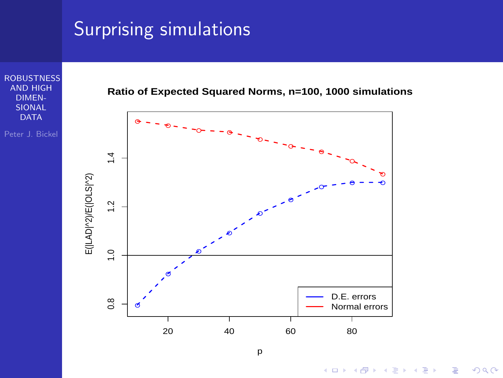### Surprising simulations



p

 $4$  ロ )  $4$   $\overline{r}$  )  $4$   $\overline{z}$  )  $4$   $\overline{z}$  )  $\Rightarrow$  $299$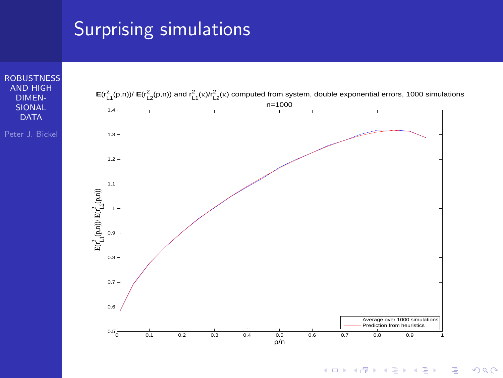### Integration by parts, symmetry of free states  $\sim$ characterization of characterization of characterization of characteristic characteristic characteristic characteristic characteristic characteristic characteristic characteristic characteristic characteristic characterist (κ) (denoted simply by r for short in the next



K ロ ▶ K @ ▶ K 할 > K 할 > 1 할 > 1 이익어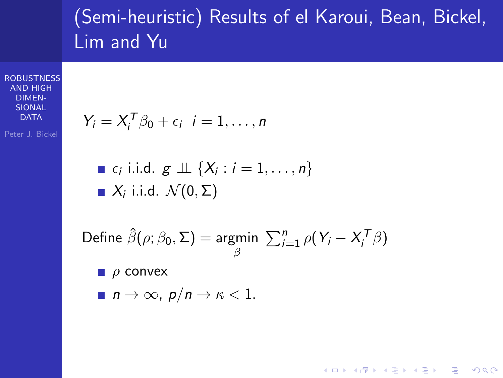## (Semi-heuristic) Results of el Karoui, Bean, Bickel, Lim and Yu

**KORK ERKER ER AGA** 

**[ROBUSTNESS](#page-0-0)** AND HIGH DIMEN-SIONAL DATA

Peter J. Bickel

$$
Y_i = X_i^T \beta_0 + \epsilon_i \ \ i = 1, \ldots, n
$$

\n- $$
\epsilon_i
$$
 i.i.d.  $g \perp \!\!\!\perp \{X_i : i = 1, \ldots, n\}$
\n- $X_i$  i.i.d.  $\mathcal{N}(0, \Sigma)$
\n

Define 
$$
\hat{\beta}(\rho; \beta_0, \Sigma) = \underset{\beta}{\text{argmin}} \sum_{i=1}^n \rho(Y_i - X_i^T \beta)
$$

 $\rho$  convex

 $n \to \infty$ ,  $p/n \to \kappa < 1$ .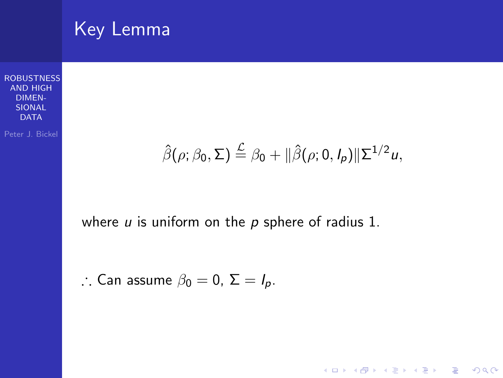

$$
\hat{\beta}(\rho;\beta_0,\Sigma) \stackrel{\mathcal{L}}{=} \beta_0 + ||\hat{\beta}(\rho;0,I_p)||\Sigma^{1/2}u,
$$

イロト イ御 トイミト イミト ニミー りんぴ

where  $u$  is uniform on the  $p$  sphere of radius 1.

∴ Can assume 
$$
\beta_0 = 0
$$
,  $\Sigma = I_p$ .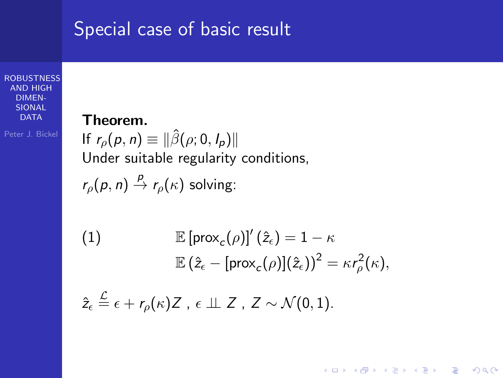### Special case of basic result

**[ROBUSTNESS](#page-0-0)** AND HIGH DIMEN-SIONAL DATA

Peter J. Bickel

### Theorem.

 $\lambda$ 

If  $r_{\rho}(p, n) \equiv ||\hat{\beta}(\rho; 0, I_p)||$ Under suitable regularity conditions,

$$
r_{\rho}(p, n) \stackrel{p}{\rightarrow} r_{\rho}(\kappa) \text{ solving:}
$$

(1) 
$$
\mathbb{E}[\text{prox}_c(\rho)]'(\hat{z}_\epsilon) = 1 - \kappa
$$

$$
\mathbb{E}(\hat{z}_\epsilon - [\text{prox}_c(\rho)](\hat{z}_\epsilon))^2 = \kappa r_\rho^2(\kappa),
$$

<span id="page-19-0"></span>**KORK ERKER ER AGA** 

$$
\hat{z}_{\epsilon} \stackrel{\mathcal{L}}{=} \epsilon + r_{\rho}(\kappa) Z \ , \ \epsilon \perp \!\!\! \perp Z \ , \ Z \sim \mathcal{N}(0,1).
$$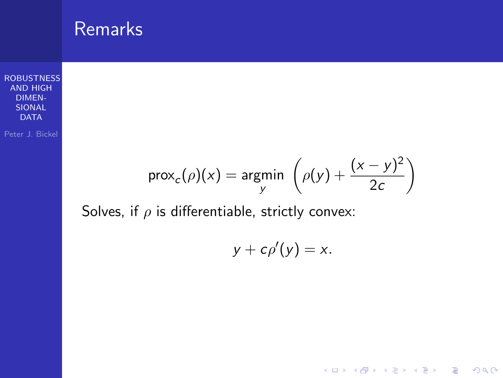**RemarkS**  
\nROBUSTNESS  
\nAND HIGH  
\nDIMER  
\nSDONAL  
\nPeter J. Bickle  
\n
$$
Prox_c(\rho)(x) = \underset{y}{\text{argmin}} \left( \rho(y) + \frac{(x - y)^2}{2c} \right)
$$

Solves, if  $\rho$  is differentiable, strictly convex:

$$
y+c\rho'(y)=x.
$$

イロトメタトメミトメミト (ミ) の女々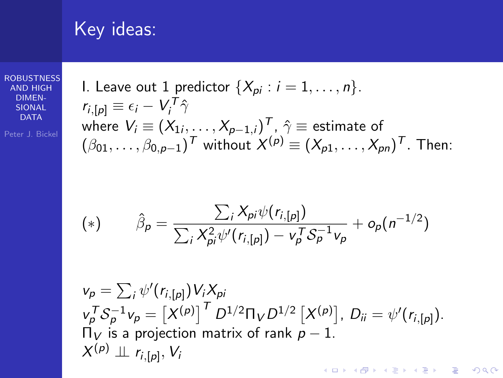### Key ideas:

**[ROBUSTNESS](#page-0-0)** AND HIGH DIMEN-SIONAL DATA

I. Leave out 1 predictor {
$$
X_{pi}
$$
 :  $i = 1, ..., n$ }.  
\n $r_{i,[p]} \equiv \epsilon_i - V_i^T \hat{\gamma}$   
\nwhere  $V_i \equiv (X_{1i}, ..., X_{p-1,i})^T$ ,  $\hat{\gamma} \equiv$  estimate of  
\n $(\beta_{01}, ..., \beta_{0,p-1})^T$  without  $X^{(p)} \equiv (X_{p1}, ..., X_{pn})^T$ . Then:

<span id="page-21-0"></span>(\*) 
$$
\hat{\beta}_p = \frac{\sum_i X_{pi} \psi(r_{i,[p]})}{\sum_i X_{pi}^2 \psi'(r_{i,[p]}) - v_p^T S_p^{-1} v_p} + o_p(n^{-1/2})
$$

$$
v_p = \sum_i \psi'(r_{i,[p]}) V_i X_{pi}
$$
  
\n
$$
v_p^T S_p^{-1} v_p = \left[ X^{(p)} \right]^T D^{1/2} \Pi_V D^{1/2} \left[ X^{(p)} \right], D_{ii} = \psi'(r_{i,[p]}).
$$
  
\n
$$
\Pi_V \text{ is a projection matrix of rank } p-1.
$$
  
\n
$$
X^{(p)} \perp \Pi_{r_{i,[p]}}, V_i
$$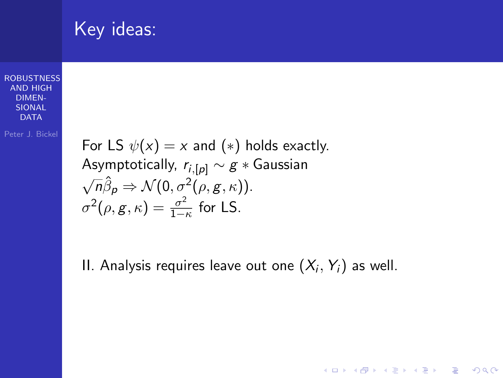| Key ideas: |  |
|------------|--|
|            |  |

Peter J. Bickel

For LS  $\psi(x) = x$  and  $(*)$  holds exactly. Asymptotically,  $r_{i,[p]} \sim g *$  Gaussian  $\sqrt{n}\hat{\beta}_p \Rightarrow \mathcal{N}(0, \sigma^2(\rho, g, \kappa)).$  $\sigma^2(\rho, g, \kappa) = \frac{\sigma^2}{1 - \mu}$  $\frac{\sigma}{1-\kappa}$  for LS.

II. Analysis requires leave out one  $(X_i,Y_i)$  as well.

**KORK STRAIN A BAR SHOP**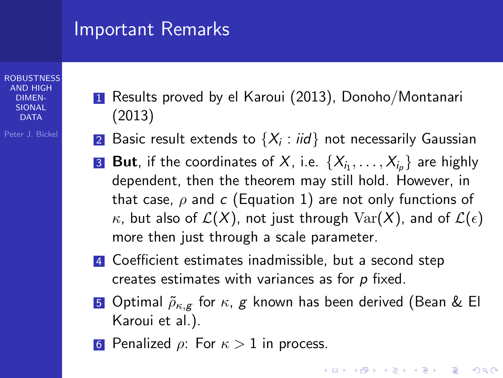### Important Remarks

#### **[ROBUSTNESS](#page-0-0)** AND HIGH DIMEN-SIONAL  $\Gamma$  $\Delta$ T $\Delta$

- Peter J. Bickel
- 1 Results proved by el Karoui (2013), Donoho/Montanari (2013)
- $\bf{2}$  Basic result extends to  $\{X_i: \textit{iid}\}$  not necessarily Gaussian
- $\overline{\textbf{3}}$   $\textbf{But, if the coordinates of } X$ , i.e.  $\{X_{i_1}, \ldots, X_{i_p}\}$  are highly dependent, then the theorem may still hold. However, in that case,  $\rho$  and c (Equation [1\)](#page-19-0) are not only functions of  $\kappa$ , but also of  $\mathcal{L}(X)$ , not just through  $\text{Var}(X)$ , and of  $\mathcal{L}(\epsilon)$ more then just through a scale parameter.
- 4 Coefficient estimates inadmissible, but a second step creates estimates with variances as for  $p$  fixed.
- 5 Optimal  $\tilde{\rho}_{\kappa,g}$  for  $\kappa, g$  known has been derived (Bean & El Karoui et al.).
- 6 Penalized  $\rho$ : For  $\kappa > 1$  in process.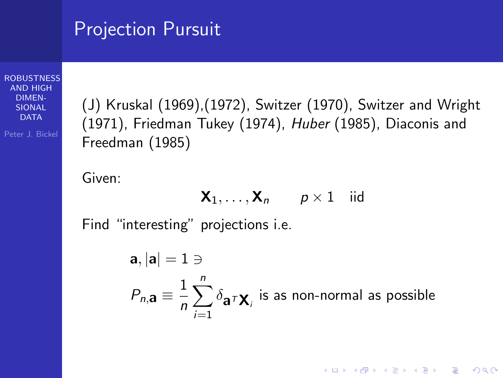### Projection Pursuit

**[ROBUSTNESS](#page-0-0)** AND HIGH DIMEN-SIONAL  $\overline{D}$  $\Delta$ T $\overline{\Delta}$ 

Peter J. Bickel

(J) Kruskal (1969),(1972), Switzer (1970), Switzer and Wright (1971), Friedman Tukey (1974), Huber (1985), Diaconis and Freedman (1985)

Given:

$$
\mathbf{X}_1, \ldots, \mathbf{X}_n \qquad p \times 1 \quad \text{iid}
$$

Find "interesting" projections i.e.

 $a, |a| = 1 \ni$  $P_{n,\mathbf{a}} \equiv \frac{1}{n}$ n  $\sum_{n=1}^{n}$  $i=1$  $\delta_{{\bf a}^{\tau}{\bf X}_i}$  is as non-normal as possible

**KORKAR KERKER EL VOLO**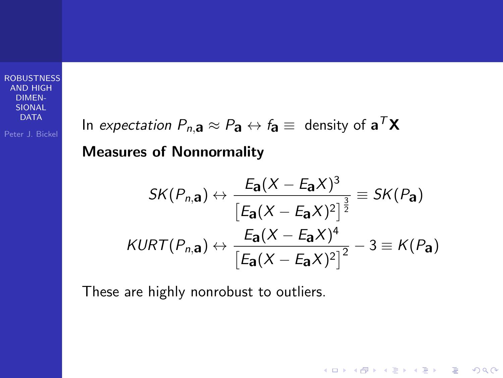Peter J. Bickel

In *expectation*  $P_{n,\mathbf{a}} \approx P_{\mathbf{a}} \leftrightarrow f_{\mathbf{a}} \equiv \text{ density of } \mathbf{a}^T\mathbf{X}$ 

### Measures of Nonnormality

$$
SK(P_{n,\mathbf{a}}) \leftrightarrow \frac{E_{\mathbf{a}}(X - E_{\mathbf{a}}X)^3}{\left[E_{\mathbf{a}}(X - E_{\mathbf{a}}X)^2\right]^{\frac{3}{2}}} \equiv SK(P_{\mathbf{a}})
$$

$$
KURT(P_{n,\mathbf{a}}) \leftrightarrow \frac{E_{\mathbf{a}}(X - E_{\mathbf{a}}X)^4}{\left[E_{\mathbf{a}}(X - E_{\mathbf{a}}X)^2\right]^2} - 3 \equiv K(P_{\mathbf{a}})
$$

K ロ ▶ K @ ▶ K 할 ▶ K 할 ▶ | 할 | © 9 Q @

These are highly nonrobust to outliers.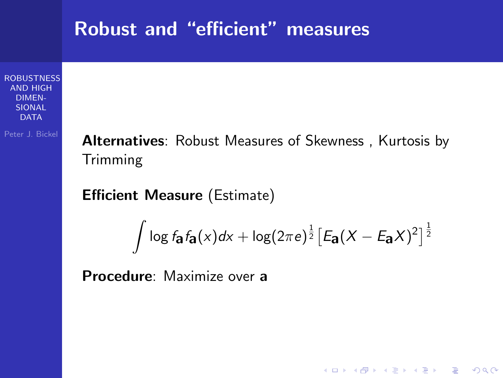## **[ROBUSTNESS](#page-0-0)** AND HIGH DIMEN-**SIONAL DATA** Peter J. Bickel Robust and "efficient" measures Alternatives: Robust Measures of Skewness, Kurtosis by Trimming Efficient Measure (Estimate)  $\int \log f_{\mathbf{a}} f_{\mathbf{a}}(x) dx + \log(2\pi e)^{\frac{1}{2}} [E_{\mathbf{a}} (X - E_{\mathbf{a}} X)^2]^{\frac{1}{2}}$ Procedure: Maximize over a

**KORKA SERKER ORA**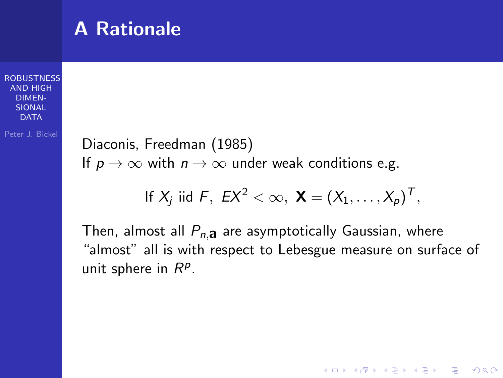### A Rationale

**[ROBUSTNESS](#page-0-0)** AND HIGH DIMEN-SIONAL **DATA** 

Peter J. Bickel

Diaconis, Freedman (1985) If  $p \to \infty$  with  $n \to \infty$  under weak conditions e.g.

If 
$$
X_j
$$
 iid  $F$ ,  $EX^2 < \infty$ ,  $\mathbf{X} = (X_1, \ldots, X_p)^T$ ,

Then, almost all  $P_{n,a}$  are asymptotically Gaussian, where "almost" all is with respect to Lebesgue measure on surface of unit sphere in  $R^p$ .

**KORK ERKER ADE YOUR**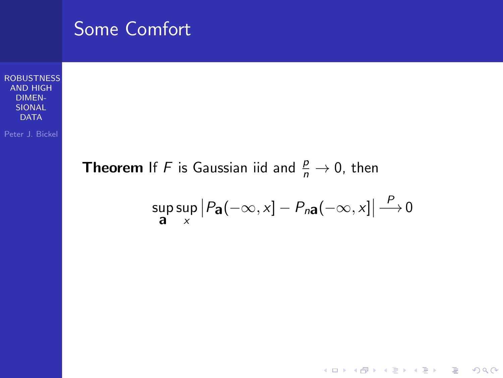

**KORK EX KEY CRACK**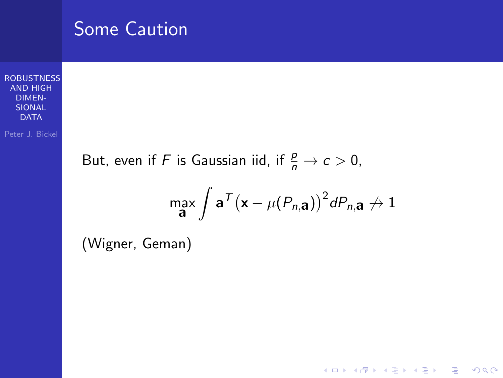## **[ROBUSTNESS](#page-0-0)** AND HIGH DIMEN-SIONAL DATA Peter J. Bickel Some Caution But, even if F is Gaussian iid, if  $\frac{p}{n} \to c > 0$ , max a  $\int \mathbf{a}^{\mathsf{T}} (\mathbf{x} - \mu(P_{n,\mathbf{a}}))^2 dP_{n,\mathbf{a}} \nrightarrow 1$

**KORK ERKER ADE YOUR** 

(Wigner, Geman)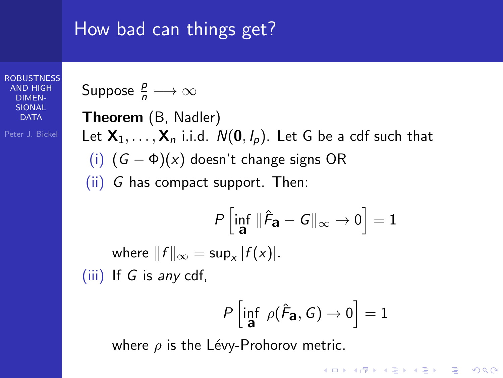### How bad can things get?

**[ROBUSTNESS](#page-0-0)** AND HIGH DIMEN-SIONAL **DATA** 

Suppose 
$$
\frac{p}{n} \longrightarrow \infty
$$

Peter J. Bickel

Theorem (B, Nadler) Let  $X_1, \ldots, X_n$  i.i.d.  $N(0, I_p)$ . Let G be a cdf such that (i)  $(G - \Phi)(x)$  doesn't change signs OR (ii) G has compact support. Then:

$$
P\left[\inf_{\mathbf{a}} \|\hat{F}_{\mathbf{a}} - G\|_{\infty} \to 0\right] = 1
$$
  
where  $||f||_{\infty} = \sup_{x} |f(x)|$ .  
(iii) If G is any cdf,

$$
P\left[\inf_{\mathbf{a}} \; \rho(\hat{\mathcal{F}}_{\mathbf{a}}, G) \to 0\right] = 1
$$

**KORK ERKER ADE YOUR** 

where  $\rho$  is the Lévy-Prohorov metric.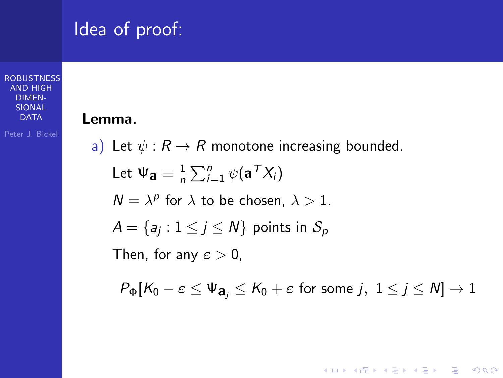## Idea of proof:

Lemma.

### **[ROBUSTNESS](#page-0-0)** AND HIGH DIMEN-SIONAL **DATA**

Peter J. Bickel

a) Let 
$$
\psi : R \to R
$$
 monotone increasing bounded.  
\nLet  $\Psi_{\mathbf{a}} \equiv \frac{1}{n} \sum_{i=1}^{n} \psi(\mathbf{a}^T X_i)$   
\n $N = \lambda^p$  for  $\lambda$  to be chosen,  $\lambda > 1$ .  
\n $A = \{a_j : 1 \le j \le N\}$  points in  $S_p$   
\nThen, for any  $\varepsilon > 0$ ,  
\n $P_{\Phi}[K_0 - \varepsilon \le \Psi_{\mathbf{a}_j} \le K_0 + \varepsilon$  for some j,  $1 \le j \le N] \to 1$ 

イロト イ母 トイミト イミト ニヨー りんぴ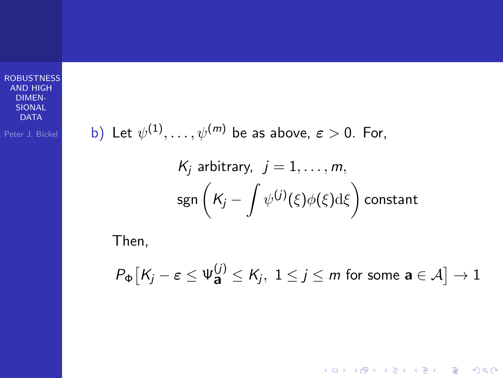| Peter J. Bickel                         | b) Let $\psi^{(1)}, \ldots, \psi^{(m)}$ be as above, $\varepsilon > 0$ . For, |
|-----------------------------------------|-------------------------------------------------------------------------------|
| $K_j$ arbitrary, $j = 1, \ldots, m$ ,\n |                                                                               |
| sgn                                     | $\left(K_j - \int \psi^{(j)}(\xi) \phi(\xi) d\xi\right)$ constant             |

Then,

$$
P_{\Phi}\big[K_j - \varepsilon \le \Psi_{\mathbf{a}}^{(j)} \le K_j, \ 1 \le j \le m \text{ for some } \mathbf{a} \in \mathcal{A}\big] \to 1
$$

イロト イ御 トイミト イミト ニミー りんぴ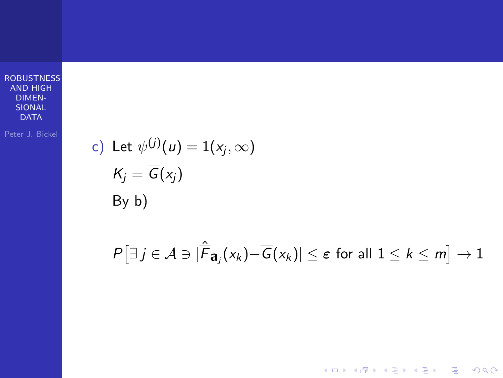c) Let 
$$
\psi^{(j)}(u) = 1(x_j, \infty)
$$
  
\n $K_j = \overline{G}(x_j)$   
\nBy b)

$$
P[\exists j \in \mathcal{A} \ni |\hat{\overline{F}}_{\mathbf{a}_j}(x_k) - \overline{G}(x_k)| \le \varepsilon \text{ for all } 1 \le k \le m] \to 1
$$

**K ロ K イロ K K モ K K モ K エ エ エ イ の Q Q C**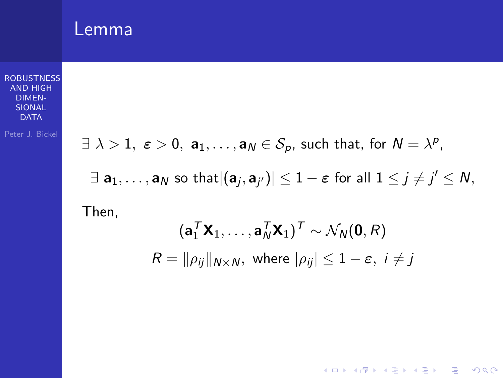### Lemma

**[ROBUSTNESS](#page-0-0)** AND HIGH DIMEN-SIONAL DATA

$$
\exists \lambda > 1, \ \varepsilon > 0, \ \mathbf{a}_1, \ldots, \mathbf{a}_N \in \mathcal{S}_p, \text{ such that, for } N = \lambda^p,
$$
  

$$
\exists \ \mathbf{a}_1, \ldots, \mathbf{a}_N \text{ so that } |(\mathbf{a}_j, \mathbf{a}_{j'})| \leq 1 - \varepsilon \text{ for all } 1 \leq j \neq j' \leq N,
$$

Then,

$$
(\mathbf{a}_1^T \mathbf{X}_1, \dots, \mathbf{a}_N^T \mathbf{X}_1)^T \sim \mathcal{N}_N(\mathbf{0}, R)
$$
  

$$
R = ||\rho_{ij}||_{N \times N}, \text{ where } |\rho_{ij}| \le 1 - \varepsilon, i \ne j
$$

K ロ X イロ X K ミ X K ミ X ミ X Y Q Q Q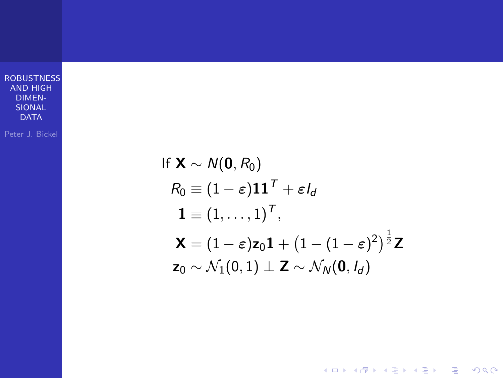Peter J. Bickel

If  $\mathbf{X} \sim N(\mathbf{0}, R_0)$  $R_0 \equiv (1 - \varepsilon) \mathbf{1} \mathbf{1}^T + \varepsilon I_d$  $\mathbf{1}\equiv(1,\ldots,1)^{\mathsf{T}},$  $\mathsf{X} = (1-\varepsilon)\mathsf{z}_0 \mathsf{1} + \big(1-(1-\varepsilon)^2\big)^{\frac{1}{2}} \mathsf{Z}$  $\mathbf{z}_0 \sim \mathcal{N}_1(0,1) \perp \mathbf{Z} \sim \mathcal{N}_N(\mathbf{0}, I_d)$ 

**KORK STRAIN A BAR SHOP**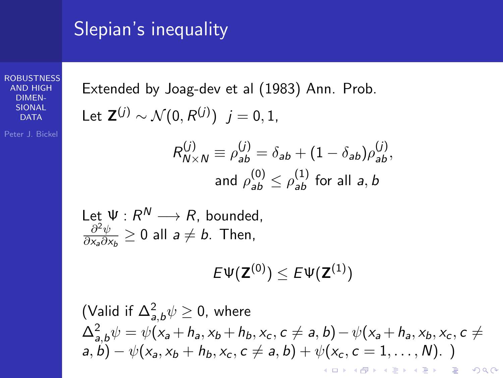### Slepian's inequality

**[ROBUSTNESS](#page-0-0)** AND HIGH DIMEN-SIONAL **DATA** 

Peter J. Bickel

Extended by Joag-dev et al (1983) Ann. Prob. Let  $\mathsf{Z}^{(j)} \sim \mathcal{N}(0, R^{(j)}) \; j = 0, 1, 1$  $R_{N \times N}^{(j)} \equiv \rho_{ab}^{(j)} = \delta_{ab} + (1 - \delta_{ab})\rho_{ab}^{(j)},$ and  $\rho_{\mathsf{a}\mathsf{b}}^{(0)} \leq \rho_{\mathsf{a}\mathsf{b}}^{(1)}$  for all  $\mathsf{a},\mathsf{b}$ Let  $\Psi: R^N \longrightarrow R$ , bounded,  $\partial^2\psi$  $\frac{\partial^2 \psi}{\partial x_a \partial x_b} \geq 0$  all  $a \neq b$ . Then,

$$
E\Psi(\mathbf{Z}^{(0)})\leq E\Psi(\mathbf{Z}^{(1)})
$$

(Valid if  $\Delta_{a,b}^2 \psi \geq 0$ , where  $\Delta_{a,b}^2 \psi = \psi(x_a + h_a, x_b + h_b, x_c, c \neq a, b) - \psi(x_a + h_a, x_b, x_c, c \neq b)$  $a, b) - \psi(x_2, x_1 + h_1, x_2, c \neq a, b) + \psi(x_2, c = 1, \ldots, N).$ K ロ ▶ K @ ▶ K 할 > K 할 > 1 할 > 1 이익어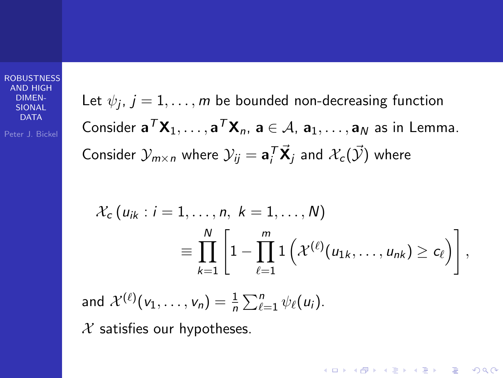Peter J. Bickel

Let  $\psi_j,\,j=1,\ldots,m$  be bounded non-decreasing function Consider  $\mathbf{a}^T \mathbf{X}_1, \ldots, \mathbf{a}^T \mathbf{X}_n$ ,  $\mathbf{a} \in \mathcal{A}$ ,  $\mathbf{a}_1, \ldots, \mathbf{a}_N$  as in Lemma. Consider  $\mathcal{Y}_{m \times n}$  where  $\mathcal{Y}_{ij} = \mathbf{a}_i^T \vec{\mathbf{X}}_j$  and  $\mathcal{X}_c(\vec{\mathcal{Y}})$  where

$$
\mathcal{X}_c(u_{ik}: i=1,\ldots,n, k=1,\ldots,N)
$$
  

$$
\equiv \prod_{k=1}^N \left[1-\prod_{\ell=1}^m 1\left(\mathcal{X}^{(\ell)}(u_{1k},\ldots,u_{nk})\geq c_\ell\right)\right],
$$

**KORK ERKER ADE YOUR** 

and  $\mathcal{X}^{(\ell)}(v_1,\ldots,v_n) = \frac{1}{n}\sum_{\ell=1}^n \psi_\ell(u_i).$ 

 $X$  satisfies our hypotheses.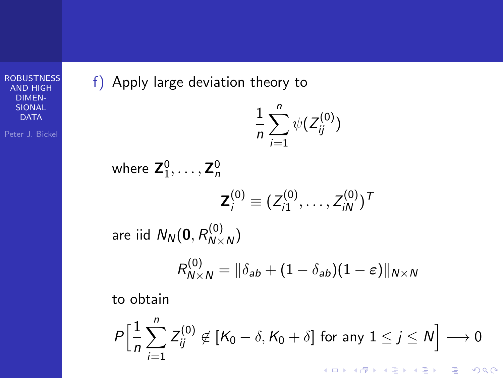f) Apply large deviation theory to

$$
\frac{1}{n}\sum_{i=1}^n \psi(Z_{ij}^{(0)})
$$

where 
$$
\mathbf{Z}_1^0, ..., \mathbf{Z}_n^0
$$
  
\n
$$
\mathbf{Z}_i^{(0)} \equiv (Z_{i1}^{(0)}, ..., Z_{iN}^{(0)})^T
$$
\nare iid  $N_N(\mathbf{0}, R_{N \times N}^{(0)})$   
\n
$$
R_{N \times N}^{(0)} = ||\delta_{ab} + (1 - \delta_{ab})(1 - \varepsilon)||_{N \times N}
$$
\nto obtain

$$
P\Big[\frac{1}{n}\sum_{i=1}^n Z_{ij}^{(0)} \notin [K_0 - \delta, K_0 + \delta] \text{ for any } 1 \le j \le N\Big] \longrightarrow 0
$$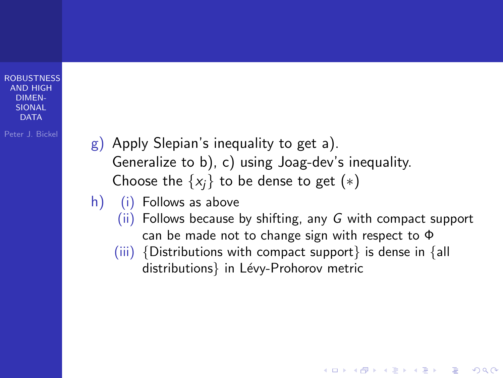- Peter J. Bickel  $g$ ) Apply Slepian's inequality to get a). Generalize to b), c) using Joag-dev's inequality. Choose the  $\{x_i\}$  to be dense to get  $(*)$ 
	- h) (i) Follows as above
		- $(ii)$  Follows because by shifting, any G with compact support can be made not to change sign with respect to Φ

**KORK ERKER ADE YOUR** 

(iii) {Distributions with compact support} is dense in {all distributions} in Lévy-Prohorov metric